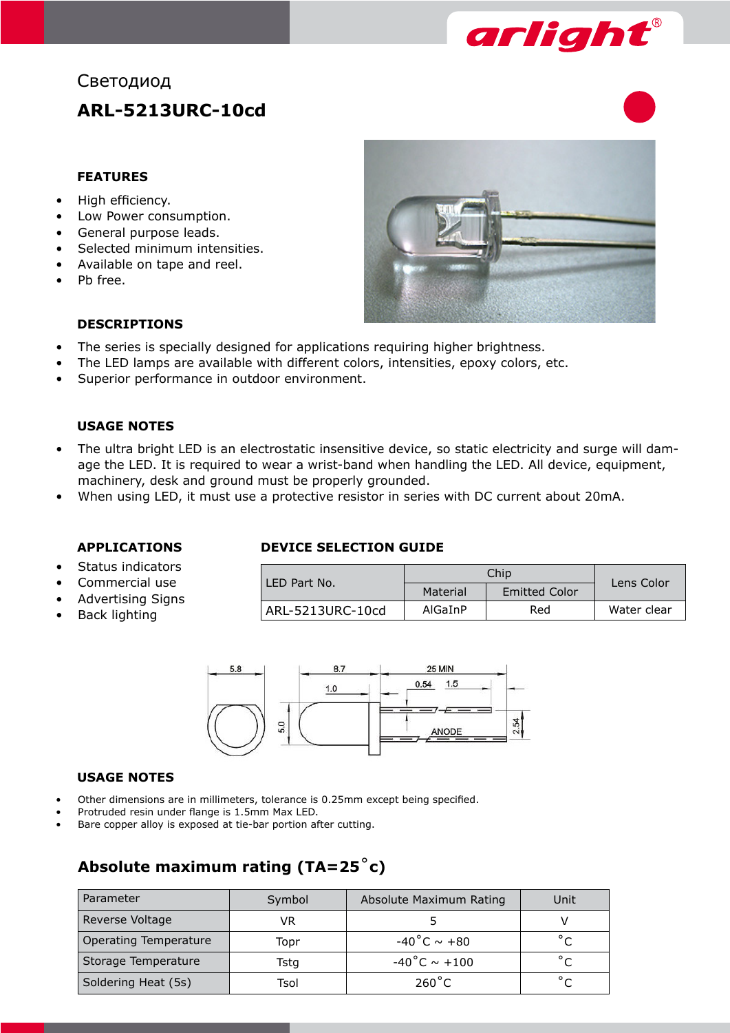

# Светодиод **ARL-5213URC-10cd**

#### **FEATURES**

- High efficiency.
- Low Power consumption.
- General purpose leads.
- Selected minimum intensities.
- Available on tape and reel.
- Pb free.



#### **DESCRIPTIONS**

- The series is specially designed for applications requiring higher brightness.
- The LED lamps are available with different colors, intensities, epoxy colors, etc.
- Superior performance in outdoor environment.

#### **USAGE NOTES**

- The ultra bright LED is an electrostatic insensitive device, so static electricity and surge will damage the LED. It is required to wear a wrist-band when handling the LED. All device, equipment, machinery, desk and ground must be properly grounded.
- When using LED, it must use a protective resistor in series with DC current about 20mA.

#### **APPLICATIONS**

- Status indicators
- Commercial use
- Advertising Signs
- Back lighting

#### **DEVICE SELECTION GUIDE**

| LED Part No.     |          | Lens Color           |             |  |
|------------------|----------|----------------------|-------------|--|
|                  | Material | <b>Emitted Color</b> |             |  |
| ARL-5213URC-10cd | AlGaInP  | Red                  | Water clear |  |



#### **USAGE NOTES**

- Other dimensions are in millimeters, tolerance is 0.25mm except being specified.
- Protruded resin under flange is 1.5mm Max LED.
- Bare copper alloy is exposed at tie-bar portion after cutting.

## **Absolute maximum rating (TA=25**˚**c)**

| Parameter                    | Symbol | Absolute Maximum Rating | Unit           |
|------------------------------|--------|-------------------------|----------------|
| Reverse Voltage              | VR.    |                         |                |
| <b>Operating Temperature</b> | Topr   | $-40^{\circ}$ C ~ +80   |                |
| Storage Temperature          | Tstg   | -40°C $\sim$ +100       | $\circ$ $\sim$ |
| Soldering Heat (5s)          | Tsol   | $260^{\circ}$ C         | $\circ$        |